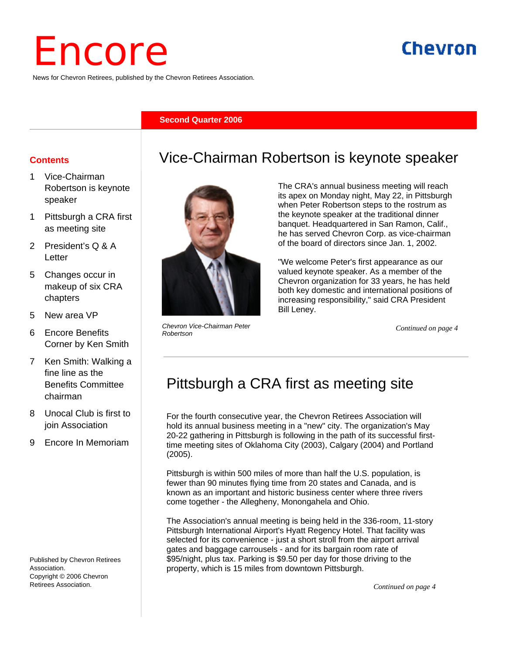# Encore

News for Chevron Retirees, published by the Chevron Retirees Association.

#### **Second Quarter 2006**

#### **Contents**

- 1 Vice-Chairman Robertson is keynote speaker
- 1 Pittsburgh a CRA first as meeting site
- 2 President's Q & A Letter
- 5 Changes occur in makeup of six CRA chapters
- 5 New area VP
- 6 Encore Benefits Corner by Ken Smith
- 7 Ken Smith: Walking a fine line as the Benefits Committee chairman
- 8 Unocal Club is first to join Association
- 9 Encore In Memoriam

Published by Chevron Retirees Association. Copyright © 2006 Chevron Retirees Association.



*Chevron Vice-Chairman Peter Robertson* 

#### The CRA's annual business meeting will reach its apex on Monday night, May 22, in Pittsburgh when Peter Robertson steps to the rostrum as the keynote speaker at the traditional dinner

Vice-Chairman Robertson is keynote speaker

banquet. Headquartered in San Ramon, Calif., he has served Chevron Corp. as vice-chairman of the board of directors since Jan. 1, 2002.

"We welcome Peter's first appearance as our valued keynote speaker. As a member of the Chevron organization for 33 years, he has held both key domestic and international positions of increasing responsibility," said CRA President Bill Leney.

*Continued on page 4*

# Pittsburgh a CRA first as meeting site

For the fourth consecutive year, the Chevron Retirees Association will hold its annual business meeting in a "new" city. The organization's May 20-22 gathering in Pittsburgh is following in the path of its successful firsttime meeting sites of Oklahoma City (2003), Calgary (2004) and Portland (2005).

Pittsburgh is within 500 miles of more than half the U.S. population, is fewer than 90 minutes flying time from 20 states and Canada, and is known as an important and historic business center where three rivers come together - the Allegheny, Monongahela and Ohio.

The Association's annual meeting is being held in the 336-room, 11-story Pittsburgh International Airport's Hyatt Regency Hotel. That facility was selected for its convenience - just a short stroll from the airport arrival gates and baggage carrousels - and for its bargain room rate of \$95/night, plus tax. Parking is \$9.50 per day for those driving to the property, which is 15 miles from downtown Pittsburgh.

*Continued on page 4*

# Chevron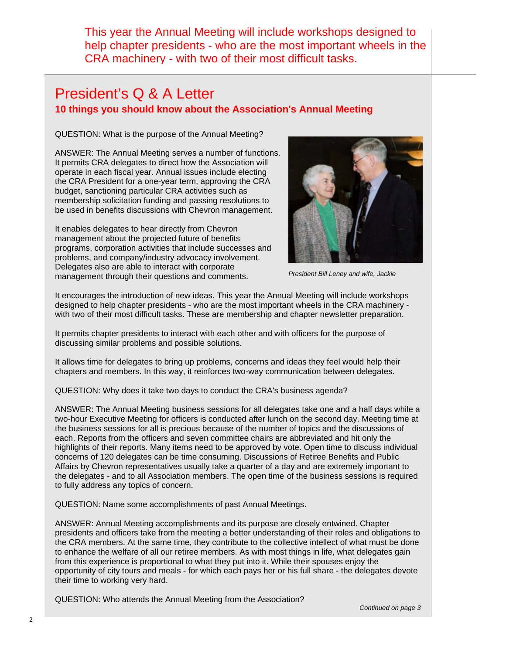This year the Annual Meeting will include workshops designed to help chapter presidents - who are the most important wheels in the CRA machinery - with two of their most difficult tasks.

## President's Q & A Letter **10 things you should know about the Association's Annual Meeting**

QUESTION: What is the purpose of the Annual Meeting?

ANSWER: The Annual Meeting serves a number of functions. It permits CRA delegates to direct how the Association will operate in each fiscal year. Annual issues include electing the CRA President for a one-year term, approving the CRA budget, sanctioning particular CRA activities such as membership solicitation funding and passing resolutions to be used in benefits discussions with Chevron management.

It enables delegates to hear directly from Chevron management about the projected future of benefits programs, corporation activities that include successes and problems, and company/industry advocacy involvement. Delegates also are able to interact with corporate management through their questions and comments.



*President Bill Leney and wife, Jackie* 

It encourages the introduction of new ideas. This year the Annual Meeting will include workshops designed to help chapter presidents - who are the most important wheels in the CRA machinery with two of their most difficult tasks. These are membership and chapter newsletter preparation.

It permits chapter presidents to interact with each other and with officers for the purpose of discussing similar problems and possible solutions.

It allows time for delegates to bring up problems, concerns and ideas they feel would help their chapters and members. In this way, it reinforces two-way communication between delegates.

QUESTION: Why does it take two days to conduct the CRA's business agenda?

ANSWER: The Annual Meeting business sessions for all delegates take one and a half days while a two-hour Executive Meeting for officers is conducted after lunch on the second day. Meeting time at the business sessions for all is precious because of the number of topics and the discussions of each. Reports from the officers and seven committee chairs are abbreviated and hit only the highlights of their reports. Many items need to be approved by vote. Open time to discuss individual concerns of 120 delegates can be time consuming. Discussions of Retiree Benefits and Public Affairs by Chevron representatives usually take a quarter of a day and are extremely important to the delegates - and to all Association members. The open time of the business sessions is required to fully address any topics of concern.

QUESTION: Name some accomplishments of past Annual Meetings.

ANSWER: Annual Meeting accomplishments and its purpose are closely entwined. Chapter presidents and officers take from the meeting a better understanding of their roles and obligations to the CRA members. At the same time, they contribute to the collective intellect of what must be done to enhance the welfare of all our retiree members. As with most things in life, what delegates gain from this experience is proportional to what they put into it. While their spouses enjoy the opportunity of city tours and meals - for which each pays her or his full share - the delegates devote their time to working very hard.

QUESTION: Who attends the Annual Meeting from the Association?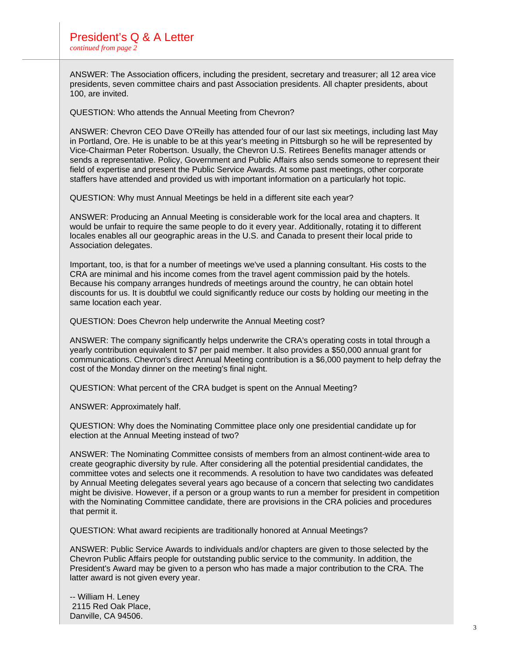ANSWER: The Association officers, including the president, secretary and treasurer; all 12 area vice presidents, seven committee chairs and past Association presidents. All chapter presidents, about 100, are invited.

QUESTION: Who attends the Annual Meeting from Chevron?

ANSWER: Chevron CEO Dave O'Reilly has attended four of our last six meetings, including last May in Portland, Ore. He is unable to be at this year's meeting in Pittsburgh so he will be represented by Vice-Chairman Peter Robertson. Usually, the Chevron U.S. Retirees Benefits manager attends or sends a representative. Policy, Government and Public Affairs also sends someone to represent their field of expertise and present the Public Service Awards. At some past meetings, other corporate staffers have attended and provided us with important information on a particularly hot topic.

QUESTION: Why must Annual Meetings be held in a different site each year?

ANSWER: Producing an Annual Meeting is considerable work for the local area and chapters. It would be unfair to require the same people to do it every year. Additionally, rotating it to different locales enables all our geographic areas in the U.S. and Canada to present their local pride to Association delegates.

Important, too, is that for a number of meetings we've used a planning consultant. His costs to the CRA are minimal and his income comes from the travel agent commission paid by the hotels. Because his company arranges hundreds of meetings around the country, he can obtain hotel discounts for us. It is doubtful we could significantly reduce our costs by holding our meeting in the same location each year.

QUESTION: Does Chevron help underwrite the Annual Meeting cost?

ANSWER: The company significantly helps underwrite the CRA's operating costs in total through a yearly contribution equivalent to \$7 per paid member. It also provides a \$50,000 annual grant for communications. Chevron's direct Annual Meeting contribution is a \$6,000 payment to help defray the cost of the Monday dinner on the meeting's final night.

QUESTION: What percent of the CRA budget is spent on the Annual Meeting?

ANSWER: Approximately half.

QUESTION: Why does the Nominating Committee place only one presidential candidate up for election at the Annual Meeting instead of two?

ANSWER: The Nominating Committee consists of members from an almost continent-wide area to create geographic diversity by rule. After considering all the potential presidential candidates, the committee votes and selects one it recommends. A resolution to have two candidates was defeated by Annual Meeting delegates several years ago because of a concern that selecting two candidates might be divisive. However, if a person or a group wants to run a member for president in competition with the Nominating Committee candidate, there are provisions in the CRA policies and procedures that permit it.

QUESTION: What award recipients are traditionally honored at Annual Meetings?

ANSWER: Public Service Awards to individuals and/or chapters are given to those selected by the Chevron Public Affairs people for outstanding public service to the community. In addition, the President's Award may be given to a person who has made a major contribution to the CRA. The latter award is not given every year.

-- William H. Leney 2115 Red Oak Place, Danville, CA 94506.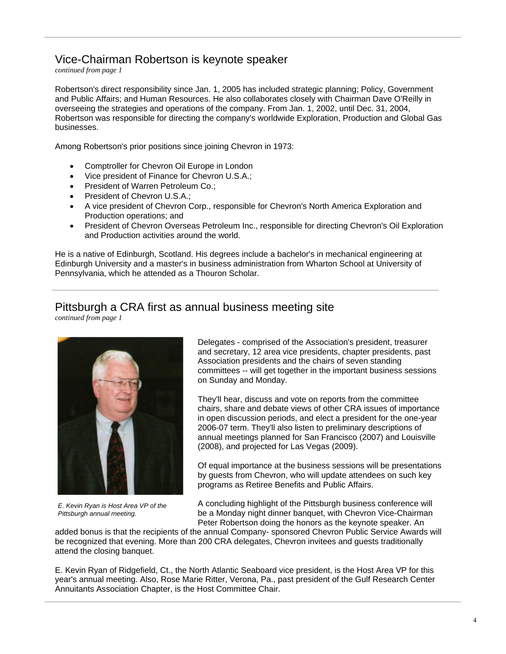#### Vice-Chairman Robertson is keynote speaker

*continued from page 1*

Robertson's direct responsibility since Jan. 1, 2005 has included strategic planning; Policy, Government and Public Affairs; and Human Resources. He also collaborates closely with Chairman Dave O'Reilly in overseeing the strategies and operations of the company. From Jan. 1, 2002, until Dec. 31, 2004, Robertson was responsible for directing the company's worldwide Exploration, Production and Global Gas businesses.

Among Robertson's prior positions since joining Chevron in 1973:

- Comptroller for Chevron Oil Europe in London
- Vice president of Finance for Chevron U.S.A.;
- President of Warren Petroleum Co.:
- President of Chevron U.S.A.;
- A vice president of Chevron Corp., responsible for Chevron's North America Exploration and Production operations; and
- President of Chevron Overseas Petroleum Inc., responsible for directing Chevron's Oil Exploration and Production activities around the world.

He is a native of Edinburgh, Scotland. His degrees include a bachelor's in mechanical engineering at Edinburgh University and a master's in business administration from Wharton School at University of Pennsylvania, which he attended as a Thouron Scholar.

### Pittsburgh a CRA first as annual business meeting site

*continued from page 1*



*E. Kevin Ryan is Host Area VP of the Pittsburgh annual meeting.* 

Delegates - comprised of the Association's president, treasurer and secretary, 12 area vice presidents, chapter presidents, past Association presidents and the chairs of seven standing committees -- will get together in the important business sessions on Sunday and Monday.

They'll hear, discuss and vote on reports from the committee chairs, share and debate views of other CRA issues of importance in open discussion periods, and elect a president for the one-year 2006-07 term. They'll also listen to preliminary descriptions of annual meetings planned for San Francisco (2007) and Louisville (2008), and projected for Las Vegas (2009).

Of equal importance at the business sessions will be presentations by guests from Chevron, who will update attendees on such key programs as Retiree Benefits and Public Affairs.

A concluding highlight of the Pittsburgh business conference will be a Monday night dinner banquet, with Chevron Vice-Chairman Peter Robertson doing the honors as the keynote speaker. An

added bonus is that the recipients of the annual Company- sponsored Chevron Public Service Awards will be recognized that evening. More than 200 CRA delegates, Chevron invitees and guests traditionally attend the closing banquet.

E. Kevin Ryan of Ridgefield, Ct., the North Atlantic Seaboard vice president, is the Host Area VP for this year's annual meeting. Also, Rose Marie Ritter, Verona, Pa., past president of the Gulf Research Center Annuitants Association Chapter, is the Host Committee Chair.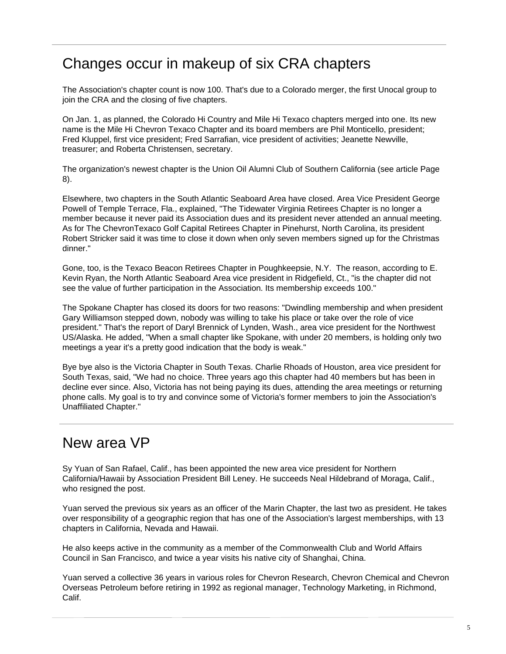## Changes occur in makeup of six CRA chapters

The Association's chapter count is now 100. That's due to a Colorado merger, the first Unocal group to join the CRA and the closing of five chapters.

On Jan. 1, as planned, the Colorado Hi Country and Mile Hi Texaco chapters merged into one. Its new name is the Mile Hi Chevron Texaco Chapter and its board members are Phil Monticello, president; Fred Kluppel, first vice president; Fred Sarrafian, vice president of activities; Jeanette Newville, treasurer; and Roberta Christensen, secretary.

The organization's newest chapter is the Union Oil Alumni Club of Southern California (see article Page 8).

Elsewhere, two chapters in the South Atlantic Seaboard Area have closed. Area Vice President George Powell of Temple Terrace, Fla., explained, "The Tidewater Virginia Retirees Chapter is no longer a member because it never paid its Association dues and its president never attended an annual meeting. As for The ChevronTexaco Golf Capital Retirees Chapter in Pinehurst, North Carolina, its president Robert Stricker said it was time to close it down when only seven members signed up for the Christmas dinner."

Gone, too, is the Texaco Beacon Retirees Chapter in Poughkeepsie, N.Y. The reason, according to E. Kevin Ryan, the North Atlantic Seaboard Area vice president in Ridgefield, Ct., "is the chapter did not see the value of further participation in the Association. Its membership exceeds 100."

The Spokane Chapter has closed its doors for two reasons: "Dwindling membership and when president Gary Williamson stepped down, nobody was willing to take his place or take over the role of vice president." That's the report of Daryl Brennick of Lynden, Wash., area vice president for the Northwest US/Alaska. He added, "When a small chapter like Spokane, with under 20 members, is holding only two meetings a year it's a pretty good indication that the body is weak."

Bye bye also is the Victoria Chapter in South Texas. Charlie Rhoads of Houston, area vice president for South Texas, said, "We had no choice. Three years ago this chapter had 40 members but has been in decline ever since. Also, Victoria has not being paying its dues, attending the area meetings or returning phone calls. My goal is to try and convince some of Victoria's former members to join the Association's Unaffiliated Chapter."

## New area VP

Sy Yuan of San Rafael, Calif., has been appointed the new area vice president for Northern California/Hawaii by Association President Bill Leney. He succeeds Neal Hildebrand of Moraga, Calif., who resigned the post.

Yuan served the previous six years as an officer of the Marin Chapter, the last two as president. He takes over responsibility of a geographic region that has one of the Association's largest memberships, with 13 chapters in California, Nevada and Hawaii.

He also keeps active in the community as a member of the Commonwealth Club and World Affairs Council in San Francisco, and twice a year visits his native city of Shanghai, China.

Yuan served a collective 36 years in various roles for Chevron Research, Chevron Chemical and Chevron Overseas Petroleum before retiring in 1992 as regional manager, Technology Marketing, in Richmond, Calif.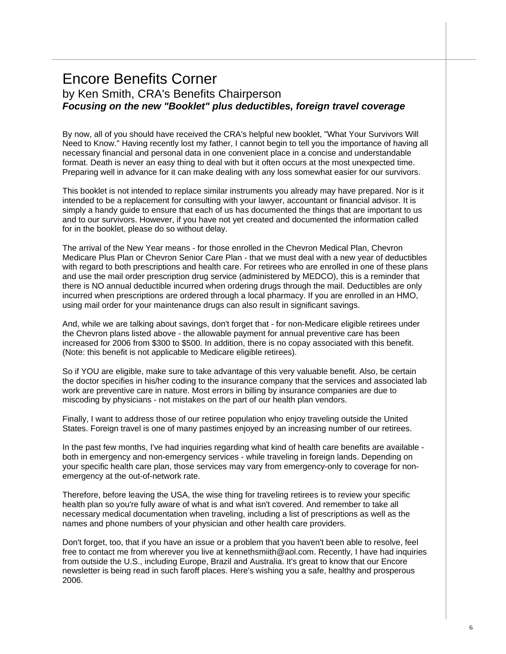### Encore Benefits Corner by Ken Smith, CRA's Benefits Chairperson *Focusing on the new "Booklet" plus deductibles, foreign travel coverage*

By now, all of you should have received the CRA's helpful new booklet, "What Your Survivors Will Need to Know." Having recently lost my father, I cannot begin to tell you the importance of having all necessary financial and personal data in one convenient place in a concise and understandable format. Death is never an easy thing to deal with but it often occurs at the most unexpected time. Preparing well in advance for it can make dealing with any loss somewhat easier for our survivors.

This booklet is not intended to replace similar instruments you already may have prepared. Nor is it intended to be a replacement for consulting with your lawyer, accountant or financial advisor. It is simply a handy guide to ensure that each of us has documented the things that are important to us and to our survivors. However, if you have not yet created and documented the information called for in the booklet, please do so without delay.

The arrival of the New Year means - for those enrolled in the Chevron Medical Plan, Chevron Medicare Plus Plan or Chevron Senior Care Plan - that we must deal with a new year of deductibles with regard to both prescriptions and health care. For retirees who are enrolled in one of these plans and use the mail order prescription drug service (administered by MEDCO), this is a reminder that there is NO annual deductible incurred when ordering drugs through the mail. Deductibles are only incurred when prescriptions are ordered through a local pharmacy. If you are enrolled in an HMO, using mail order for your maintenance drugs can also result in significant savings.

And, while we are talking about savings, don't forget that - for non-Medicare eligible retirees under the Chevron plans listed above - the allowable payment for annual preventive care has been increased for 2006 from \$300 to \$500. In addition, there is no copay associated with this benefit. (Note: this benefit is not applicable to Medicare eligible retirees).

So if YOU are eligible, make sure to take advantage of this very valuable benefit. Also, be certain the doctor specifies in his/her coding to the insurance company that the services and associated lab work are preventive care in nature. Most errors in billing by insurance companies are due to miscoding by physicians - not mistakes on the part of our health plan vendors.

Finally, I want to address those of our retiree population who enjoy traveling outside the United States. Foreign travel is one of many pastimes enjoyed by an increasing number of our retirees.

In the past few months, I've had inquiries regarding what kind of health care benefits are available both in emergency and non-emergency services - while traveling in foreign lands. Depending on your specific health care plan, those services may vary from emergency-only to coverage for nonemergency at the out-of-network rate.

Therefore, before leaving the USA, the wise thing for traveling retirees is to review your specific health plan so you're fully aware of what is and what isn't covered. And remember to take all necessary medical documentation when traveling, including a list of prescriptions as well as the names and phone numbers of your physician and other health care providers.

Don't forget, too, that if you have an issue or a problem that you haven't been able to resolve, feel free to contact me from wherever you live at kennethsmiith@aol.com. Recently, I have had inquiries from outside the U.S., including Europe, Brazil and Australia. It's great to know that our Encore newsletter is being read in such faroff places. Here's wishing you a safe, healthy and prosperous 2006.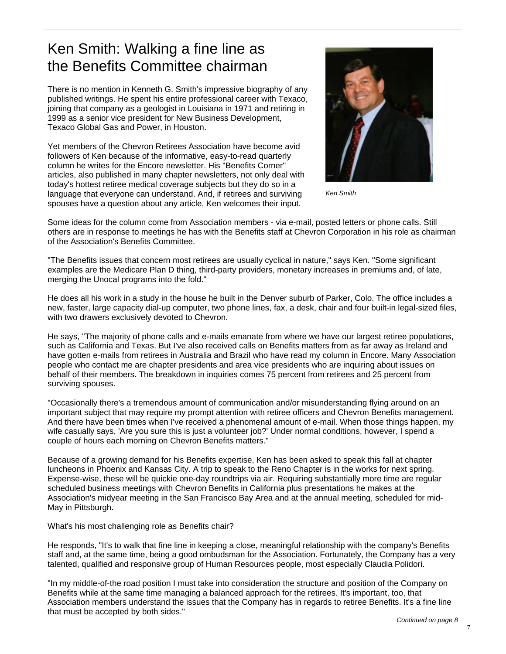# Ken Smith: Walking a fine line as the Benefits Committee chairman

There is no mention in Kenneth G. Smith's impressive biography of any published writings. He spent his entire professional career with Texaco, joining that company as a geologist in Louisiana in 1971 and retiring in 1999 as a senior vice president for New Business Development, Texaco Global Gas and Power, in Houston.

Yet members of the Chevron Retirees Association have become avid followers of Ken because of the informative, easy-to-read quarterly column he writes for the Encore newsletter. His "Benefits Corner" articles, also published in many chapter newsletters, not only deal with today's hottest retiree medical coverage subjects but they do so in a language that everyone can understand. And, if retirees and surviving spouses have a question about any article, Ken welcomes their input.



*Ken Smith* 

Some ideas for the column come from Association members - via e-mail, posted letters or phone calls. Still others are in response to meetings he has with the Benefits staff at Chevron Corporation in his role as chairman of the Association's Benefits Committee.

"The Benefits issues that concern most retirees are usually cyclical in nature," says Ken. "Some significant examples are the Medicare Plan D thing, third-party providers, monetary increases in premiums and, of late, merging the Unocal programs into the fold."

He does all his work in a study in the house he built in the Denver suburb of Parker, Colo. The office includes a new, faster, large capacity dial-up computer, two phone lines, fax, a desk, chair and four built-in legal-sized files, with two drawers exclusively devoted to Chevron.

He says, "The majority of phone calls and e-mails emanate from where we have our largest retiree populations, such as California and Texas. But I've also received calls on Benefits matters from as far away as Ireland and have gotten e-mails from retirees in Australia and Brazil who have read my column in Encore. Many Association people who contact me are chapter presidents and area vice presidents who are inquiring about issues on behalf of their members. The breakdown in inquiries comes 75 percent from retirees and 25 percent from surviving spouses.

"Occasionally there's a tremendous amount of communication and/or misunderstanding flying around on an important subject that may require my prompt attention with retiree officers and Chevron Benefits management. And there have been times when I've received a phenomenal amount of e-mail. When those things happen, my wife casually says, 'Are you sure this is just a volunteer job?' Under normal conditions, however, I spend a couple of hours each morning on Chevron Benefits matters."

Because of a growing demand for his Benefits expertise, Ken has been asked to speak this fall at chapter luncheons in Phoenix and Kansas City. A trip to speak to the Reno Chapter is in the works for next spring. Expense-wise, these will be quickie one-day roundtrips via air. Requiring substantially more time are regular scheduled business meetings with Chevron Benefits in California plus presentations he makes at the Association's midyear meeting in the San Francisco Bay Area and at the annual meeting, scheduled for mid-May in Pittsburgh.

What's his most challenging role as Benefits chair?

He responds, "It's to walk that fine line in keeping a close, meaningful relationship with the company's Benefits staff and, at the same time, being a good ombudsman for the Association. Fortunately, the Company has a very talented, qualified and responsive group of Human Resources people, most especially Claudia Polidori.

"In my middle-of-the road position I must take into consideration the structure and position of the Company on Benefits while at the same time managing a balanced approach for the retirees. It's important, too, that Association members understand the issues that the Company has in regards to retiree Benefits. It's a fine line that must be accepted by both sides."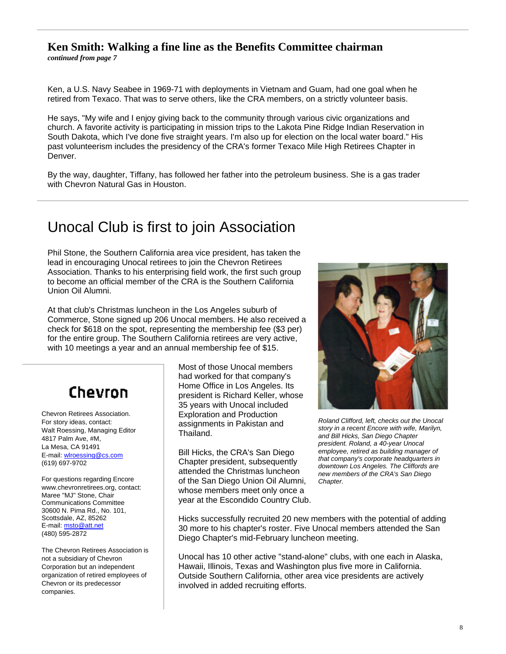#### **Ken Smith: Walking a fine line as the Benefits Committee chairman**

*continued from page 7*

Ken, a U.S. Navy Seabee in 1969-71 with deployments in Vietnam and Guam, had one goal when he retired from Texaco. That was to serve others, like the CRA members, on a strictly volunteer basis.

He says, "My wife and I enjoy giving back to the community through various civic organizations and church. A favorite activity is participating in mission trips to the Lakota Pine Ridge Indian Reservation in South Dakota, which I've done five straight years. I'm also up for election on the local water board." His past volunteerism includes the presidency of the CRA's former Texaco Mile High Retirees Chapter in Denver.

By the way, daughter, Tiffany, has followed her father into the petroleum business. She is a gas trader with Chevron Natural Gas in Houston.

# Unocal Club is first to join Association

Phil Stone, the Southern California area vice president, has taken the lead in encouraging Unocal retirees to join the Chevron Retirees Association. Thanks to his enterprising field work, the first such group to become an official member of the CRA is the Southern California Union Oil Alumni.

At that club's Christmas luncheon in the Los Angeles suburb of Commerce, Stone signed up 206 Unocal members. He also received a check for \$618 on the spot, representing the membership fee (\$3 per) for the entire group. The Southern California retirees are very active, with 10 meetings a year and an annual membership fee of \$15.

# Chevron

Chevron Retirees Association. For story ideas, contact: Walt Roessing, Managing Editor 4817 Palm Ave, #M, La Mesa, CA 91491 E-mail: wlroessing@cs.com (619) 697-9702

For questions regarding Encore www.chevronretirees.org, contact: Maree "MJ" Stone, Chair Communications Committee 30600 N. Pima Rd., No. 101, Scottsdale, AZ, 85262 E-mail: msto@att.net (480) 595-2872

The Chevron Retirees Association is not a subsidiary of Chevron Corporation but an independent organization of retired employees of Chevron or its predecessor companies.

Most of those Unocal members had worked for that company's Home Office in Los Angeles. Its president is Richard Keller, whose 35 years with Unocal included Exploration and Production assignments in Pakistan and Thailand.

Bill Hicks, the CRA's San Diego Chapter president, subsequently attended the Christmas luncheon of the San Diego Union Oil Alumni, whose members meet only once a year at the Escondido Country Club.



*Roland Clifford, left, checks out the Unocal story in a recent Encore with wife, Marilyn, and Bill Hicks, San Diego Chapter president. Roland, a 40-year Unocal employee, retired as building manager of that company's corporate headquarters in downtown Los Angeles. The Cliffords are new members of the CRA's San Diego Chapter.* 

Hicks successfully recruited 20 new members with the potential of adding 30 more to his chapter's roster. Five Unocal members attended the San Diego Chapter's mid-February luncheon meeting.

Unocal has 10 other active "stand-alone" clubs, with one each in Alaska, Hawaii, Illinois, Texas and Washington plus five more in California. Outside Southern California, other area vice presidents are actively involved in added recruiting efforts.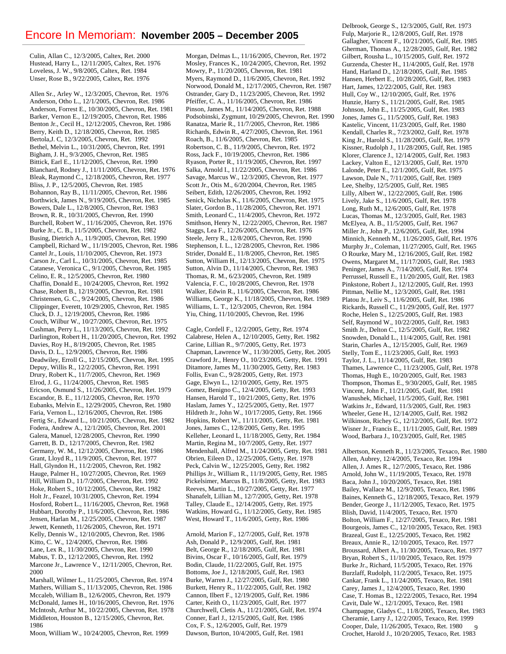#### Encore In Memoriam: **November 2005 – December 2005**

Culin, Allan C., 12/3/2005, Caltex, Ret. 2000 Hustead, Harry L., 12/11/2005, Caltex, Ret. 1976 Loveless, J. W., 9/8/2005, Caltex, Ret. 1984 Unser, Rose B., 9/22/2005, Caltex, Ret. 1976

Allen Sr., Arley W., 12/3/2005, Chevron, Ret. 1976 Anderson, Otho L., 12/1/2005, Chevron, Ret. 1986 Anderson, Forrest E., 10/30/2005, Chevron, Ret. 1981 Barker, Vernon E., 12/19/2005, Chevron, Ret. 1986 Benton Jr., Cecil H., 12/12/2005, Chevron, Ret. 1986 Berry, Keith D., 12/18/2005, Chevron, Ret. 1985 Bertola,J. C, 12/3/2005, Chevron, Ret. 1992 Bethel, Melvin L., 10/31/2005, Chevron, Ret. 1991 Bigham, J. H., 9/3/2005, Chevron, Ret. 1985 Bittick, Earl E., 11/12/2005, Chevron, Ret. 1990 Blanchard, Rodney J., 11/11/2005, Chevron, Ret. 1976 Bleak, Raymond C., 12/18/2005, Chevron, Ret. 1977 Bliss, J. P., 12/5/2005, Chevron, Ret. 1985 Bohannon, Ray B., 11/11/2005, Chevron, Ret. 1986 Borthwick, James N., 9/19/2005, Chevron, Ret. 1985 Bowers, Dale L., 12/8/2005, Chevron, Ret. 1983 Brown, R. R., 10/31/2005, Chevron, Ret. 1990 Burchell, Robert W., 11/16/2005, Chevron, Ret. 1976 Burke Jr., C. B., 11/5/2005, Chevron, Ret. 1982 Busing, Dietrich A., 11/9/2005, Chevron, Ret. 1990 Campbell, Richard W., 11/19/2005, Chevron, Ret. 1986 Cantel Jr., Louis, 11/10/2005, Chevron, Ret. 1973 Carson Jr., Carl L., 10/31/2005, Chevron, Ret. 1985 Catanese, Veronica C., 9/1/2005, Chevron, Ret. 1985 Celino, E. R., 12/5/2005, Chevron, Ret. 1980 Chaffin, Donald E., 10/24/2005, Chevron, Ret. 1992 Chase, Robert B., 12/19/2005, Chevron, Ret. 1981 Christensen, G. C., 9/24/2005, Chevron, Ret. 1986 Clippinger, Everett, 10/29/2005, Chevron, Ret. 1985 Cluck, D. J., 12/19/2005, Chevron, Ret. 1986 Couch, Wilbur W., 10/27/2005, Chevron, Ret. 1975 Cushman, Perry L., 11/13/2005, Chevron, Ret. 1992 Darlington, Robert H., 11/20/2005, Chevron, Ret. 1992 Davies, Roy H., 8/19/2005, Chevron, Ret. 1985 Davis, D. L., 12/9/2005, Chevron, Ret. 1986 Deadwiley, Erroll G., 12/15/2005, Chevron, Ret. 1995 Depuy, Willis R., 12/2/2005, Chevron, Ret. 1991 Drury, Robert K., 11/7/2005, Chevron, Ret. 1969 Elrod, J. G., 11/24/2005, Chevron, Ret. 1985 Ericson, Osmund S., 11/26/2005, Chevron, Ret. 1979 Escandor, B. E., 11/12/2005, Chevron, Ret. 1970 Eubanks, Melvin E., 12/29/2005, Chevron, Ret. 1980 Faria, Vernon L., 12/16/2005, Chevron, Ret. 1986 Fertig Sr., Edward L., 10/21/2005, Chevron, Ret. 1982 Fodera, Andrew A., 12/1/2005, Chevron, Ret. 2001 Galera, Manuel, 12/28/2005, Chevron, Ret. 1990 Garrett, B. D., 12/17/2005, Chevron, Ret. 1982 Germany, W. M., 12/12/2005, Chevron, Ret. 1986 Grant, Lloyd R., 11/9/2005, Chevron, Ret. 1977 Hall, Glyndon H., 11/2/2005, Chevron, Ret. 1982 Hauge, Palmer H., 10/27/2005, Chevron, Ret. 1969 Hill, William D., 11/7/2005, Chevron, Ret. 1992 Hoke, Robert S., 10/12/2005, Chevron, Ret. 1982 Holt Jr., Feazel, 10/31/2005, Chevron, Ret. 1994 Hosford, Robert L., 11/16/2005, Chevron, Ret. 1968 Hubbart, Dorothy P., 11/6/2005, Chevron, Ret. 1986 Jensen, Harlan M., 12/25/2005, Chevron, Ret. 1987 Jewett, Kenneth, 11/26/2005, Chevron, Ret. 1971 Kelly, Dennis W., 12/10/2005, Chevron, Ret. 1986 Kitto, C. W., 12/4/2005, Chevron, Ret. 1986 Lane, Lex R., 11/30/2005, Chevron, Ret. 1990 Mabus, T. D., 12/12/2005, Chevron, Ret. 1992 Marcone Jr., Lawrence V., 12/11/2005, Chevron, Ret. 2000

Marshall, Wilmer L., 11/25/2005, Chevron, Ret. 1974 Mathers, William S., 11/13/2005, Chevron, Ret. 1986 Mccaleb, William B., 12/6/2005, Chevron, Ret. 1979 McDonald, James H., 10/16/2005, Chevron, Ret. 1976 McIntosh, Arthur M., 10/22/2005, Chevron, Ret. 1978 Middleton, Houston B., 12/15/2005, Chevron, Ret. 1986

Moon, William W., 10/24/2005, Chevron, Ret. 1999

Morgan, Delmas L., 11/16/2005, Chevron, Ret. 1972 Mosley, Frances K., 10/24/2005, Chevron, Ret. 1992 Mowry, P., 11/20/2005, Chevron, Ret. 1981 Myers, Raymond D., 11/6/2005, Chevron, Ret. 1992 Norwood, Donald M., 12/17/2005, Chevron, Ret. 1987 Ostrander, Gary D., 11/23/2005, Chevron, Ret. 1992 Pfeiffer, C. A., 11/16/2005, Chevron, Ret. 1986 Pinson, James M., 11/14/2005, Chevron, Ret. 1988 Podsobinski, Zygmunt, 10/29/2005, Chevron, Ret. 1990 Ranatza, Marie R., 11/7/2005, Chevron, Ret. 1986 Richards, Edwin R., 4/27/2005, Chevron, Ret. 1961 Roach, B., 11/6/2005, Chevron, Ret. 1985 Robertson, C. B., 11/9/2005, Chevron, Ret. 1972 Ross, Jack F., 10/19/2005, Chevron, Ret. 1986 Ryason, Porter R., 11/19/2005, Chevron, Ret. 1997 Salka, Arnold I., 11/22/2005, Chevron, Ret. 1986 Savage, Marcus W., 12/3/2005, Chevron, Ret. 1977 Scott Jr., Otis M., 6/20/2004, Chevron, Ret. 1985 Seibert, Edith, 12/26/2005, Chevron, Ret. 1992 Senick, Nicholas K., 11/6/2005, Chevron, Ret. 1975 Slater, Gordon B., 11/28/2005, Chevron, Ret. 1971 Smith, Leonard C., 11/4/2005, Chevron, Ret. 1972 Smithson, Henry N., 12/22/2005, Chevron, Ret. 1987 Staggs, Lea F., 12/26/2005, Chevron, Ret. 1976 Steele, Jerry R., 12/8/2005, Chevron, Ret. 1990 Stephenson, I. L., 12/28/2005, Chevron, Ret. 1986 Strider, Donald E., 11/8/2005, Chevron, Ret. 1985 Sutton, William H., 12/13/2005, Chevron, Ret. 1975 Sutton, Alvin D., 11/14/2005, Chevron, Ret. 1983 Thomas, R. M., 6/23/2005, Chevron, Ret. 1989 Valencia, F. C., 10/28/2005, Chevron, Ret. 1978 Walker, Edwin R., 11/6/2005, Chevron, Ret. 1986 Williams, George K., 11/18/2005, Chevron, Ret. 1989 Williams, L. T., 12/3/2005, Chevron, Ret. 1984 Yiu, Ching, 11/10/2005, Chevron, Ret. 1996

Cagle, Cordell F., 12/2/2005, Getty, Ret. 1974 Calabrese, Helen A., 12/10/2005, Getty, Ret. 1982 Carine, Lillian R., 9/7/2005, Getty, Ret. 1973 Chapman, Lawrence W., 11/30/2005, Getty, Ret. 2005 Crawford Jr., Henry O., 10/23/2005, Getty, Ret. 1991 Ditamore, James M., 11/30/2005, Getty, Ret. 1983 Follis, Evan C., 9/28/2005, Getty, Ret. 1973 Gage, Elwyn L., 12/10/2005, Getty, Ret. 1975 Gomez, Benigno C., 12/4/2005, Getty, Ret. 1993 Hansen, Harold T., 10/21/2005, Getty, Ret. 1976 Haslam, James Y., 12/25/2005, Getty, Ret. 1977 Hildreth Jr., John W., 10/17/2005, Getty, Ret. 1966 Hopkins, Robert W., 11/11/2005, Getty, Ret. 1981 Jones, James C., 12/8/2005, Getty, Ret. 1995 Kelleher, Leonard L, 11/18/2005, Getty, Ret. 1984 Martin, Regina M., 10/7/2005, Getty, Ret. 1977 Mendenhall, Alfred M., 11/24/2005, Getty, Ret. 1981 Obrien, Eileen D., 12/25/2005, Getty, Ret. 1978 Peck, Calvin W., 12/25/2005, Getty, Ret. 1982 Phillips Jr., William R., 11/19/2005, Getty, Ret. 1985 Pickelsimer, Marcus B., 11/8/2005, Getty, Ret. 1983 Reeves, Martin L., 10/27/2005, Getty, Ret. 1977 Shanafelt, Lillian M., 12/7/2005, Getty, Ret. 1978 Talley, Claude E., 12/14/2005, Getty, Ret. 1975 Watkins, Howard G., 11/12/2005, Getty, Ret. 1985 West, Howard T., 11/6/2005, Getty, Ret. 1986

Arnold, Marion F., 12/7/2005, Gulf, Ret. 1978 Ash, Donald P., 12/9/2005, Gulf, Ret. 1981 Belt, George R., 12/18/2005, Gulf, Ret. 1981 Bivins, Oscar F., 10/16/2005, Gulf, Ret. 1979 Bodin, Claude, 11/22/2005, Gulf, Ret. 1975 Bottoms, Joe J., 12/18/2005, Gulf, Ret. 1983 Burke, Warren J., 12/27/2005, Gulf, Ret. 1980 Burkett, Henry R., 11/22/2005, Gulf, Ret. 1982 Cannon, Ilbert F., 12/19/2005, Gulf, Ret. 1986 Carter, Keith O., 11/23/2005, Gulf, Ret. 1977 Churchwell, Cletis A., 11/21/2005, Gulf, Ret. 1974 Conner, Earl J., 12/15/2005, Gulf, Ret. 1986 Cox, F. S., 12/6/2005, Gulf, Ret. 1979 Dawson, Burton, 10/4/2005, Gulf, Ret. 1981

Delbrook, George S., 12/3/2005, Gulf, Ret. 1973 Fulp, Marjorie R., 12/8/2005, Gulf, Ret. 1978 Gallagher, Vincent F., 10/21/2005, Gulf, Ret. 1985 Gherman, Thomas A., 12/28/2005, Gulf, Ret. 1982 Gilbert, Rousha L., 10/15/2005, Gulf, Ret. 1972 Gurzenda, Chester H., 11/4/2005, Gulf, Ret. 1978 Hand, Harland D., 12/18/2005, Gulf, Ret. 1985 Hansen, Herbert E., 10/28/2005, Gulf, Ret. 1983 Hart, James, 12/22/2005, Gulf, Ret. 1983 Hull, Coy W., 12/10/2005, Gulf, Ret. 1976 Hunzie, Harry S., 11/21/2005, Gulf, Ret. 1985 Johnson, John E., 11/25/2005, Gulf, Ret. 1983 Jones, James G., 11/5/2005, Gulf, Ret. 1983 Kastelic, Vincent, 11/23/2005, Gulf, Ret. 1980 Kendall, Charles R., 7/23/2002, Gulf, Ret. 1978 King Jr., Harold S., 11/28/2005, Gulf, Ret. 1979 Kissner, Rudolph J., 11/28/2005, Gulf, Ret. 1985 Klorer, Clarence J., 12/14/2005, Gulf, Ret. 1983 Lackey, Valton E., 12/13/2005, Gulf, Ret. 1970 Lalonde, Peter E., 12/1/2005, Gulf, Ret. 1975 Lawson, Dale N., 7/11/2005, Gulf, Ret. 1989 Lee, Shelby, 12/5/2005, Gulf, Ret. 1985 Lilly, Albert W., 12/22/2005, Gulf, Ret. 1986 Lively, Jake S., 11/6/2005, Gulf, Ret. 1978 Long, Ruth M., 12/6/2005, Gulf, Ret. 1978 Lucas, Thomas M., 12/3/2005, Gulf, Ret. 1983 McElyea, A. B., 11/5/2005, Gulf, Ret. 1967 Miller Jr., John P., 12/6/2005, Gulf, Ret. 1994 Minnich, Kenneth M., 11/26/2005, Gulf, Ret. 1976 Murphy Jr., Coleman, 11/27/2005, Gulf, Ret. 1965 O Rourke, Mary M., 12/16/2005, Gulf, Ret. 1982 Owens, Margaret M., 11/17/2005, Gulf, Ret. 1983 Peninger, James A., 7/14/2005, Gulf, Ret. 1974 Perrussel, Russell E., 11/20/2005, Gulf, Ret. 1983 Pinkstone, Robert J., 12/12/2005, Gulf, Ret. 1993 Pittman, Nellie M., 12/3/2005, Gulf, Ret. 1981 Platou Jr., Leiv S., 11/6/2005, Gulf, Ret. 1986 Rickards, Russell C., 11/29/2005, Gulf, Ret. 1977 Roche, Helen S., 12/25/2005, Gulf, Ret. 1983 Self, Raymond W., 10/22/2005, Gulf, Ret. 1983 Smith Jr., Delton C., 12/5/2005, Gulf, Ret. 1982 Snowden, Donald L., 11/4/2005, Gulf, Ret. 1981 Starin, Charles A., 12/15/2005, Gulf, Ret. 1969 Stelly, Tom E., 11/23/2005, Gulf, Ret. 1993 Taylor, J. L., 11/14/2005, Gulf, Ret. 1983 Thames, Lawrence C., 11/23/2005, Gulf, Ret. 1978 Thomas, Hugh E., 10/20/2005, Gulf, Ret. 1983 Thompson, Thomas E., 9/30/2005, Gulf, Ret. 1985 Vincent, John F., 11/21/2005, Gulf, Ret. 1981 Wanushek, Michael, 11/5/2005, Gulf, Ret. 1981 Watkins Jr., Edward, 11/3/2005, Gulf, Ret. 1983 Wheeler, Gene H., 12/14/2005, Gulf, Ret. 1982 Wilkinson, Richey G., 12/12/2005, Gulf, Ret. 1972 Wisner Jr., Francis E., 11/11/2005, Gulf, Ret. 1989 Wood, Barbara J., 10/23/2005, Gulf, Ret. 1985

9 Albertson, Kenneth R., 11/23/2005, Texaco, Ret. 1980 Allen, Aubrey, 12/4/2005, Texaco, Ret. 1994 Allen, J. Ames R., 12/7/2005, Texaco, Ret. 1986 Arnold, John W., 11/19/2005, Texaco, Ret. 1978 Baca, John J., 10/20/2005, Texaco, Ret. 1981 Bailey, Wallace M., 12/9/2005, Texaco, Ret. 1986 Baines, Kenneth G., 12/18/2005, Texaco, Ret. 1979 Bender, George J., 11/12/2005, Texaco, Ret. 1975 Blish, David, 11/4/2005, Texaco, Ret. 1970 Bolton, William F., 12/27/2005, Texaco, Ret. 1981 Bourgeois, James C., 12/10/2005, Texaco, Ret. 1983 Brazeal, Gust E., 12/25/2005, Texaco, Ret. 1982 Breaux, Annie R., 12/10/2005, Texaco, Ret. 1977 Broussard, Albert A., 11/30/2005, Texaco, Ret. 1977 Bryan, Robert S., 11/10/2005, Texaco, Ret. 1979 Burke Jr., Richard, 11/5/2005, Texaco, Ret. 1976 Burzlaff, Rudolph, 11/2/2005, Texaco, Ret. 1975 Cankar, Frank L., 11/24/2005, Texaco, Ret. 1981 Carey, James J., 12/4/2005, Texaco, Ret. 1990 Case, T. Homas B., 12/22/2005, Texaco, Ret. 1994 Cavit, Dale W., 12/1/2005, Texaco, Ret. 1981 Champagne, Gladys C., 11/8/2005, Texaco, Ret. 1983 Cheramie, Larry J., 12/2/2005, Texaco, Ret. 1999 Cooper, Dale, 11/26/2005, Texaco, Ret. 1980 Crochet, Harold J., 10/20/2005, Texaco, Ret. 1983